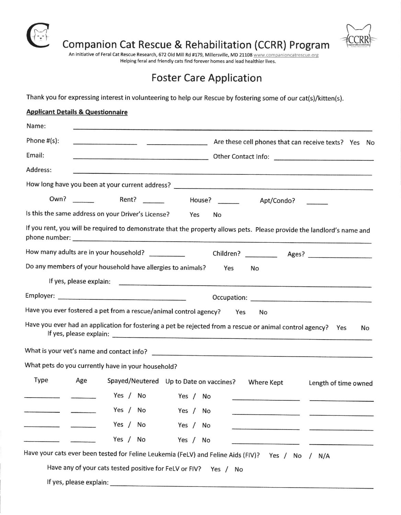

## Companion Cat Rescue & Rehabilitation (CCRR) Program

An initiative of Feral Cat Rescue Research, 672 Old Mill Rd #179, Millersville, MD 21108 www.companioncatrescue.org Helping feral and friendly cats find forever homes and lead healthier lives.

## Foster Care Application

Thank you for expressing interest in volunteering to help our Rescue by fostering some of our cat(s)/kitten(s).

| <b>Applicant Details &amp; Questionnaire</b>                                                                           |
|------------------------------------------------------------------------------------------------------------------------|
| Name:                                                                                                                  |
| Phone $#(s)$ :<br>Are these cell phones that can receive texts? Yes No                                                 |
| Email:<br>Dther Contact Info:                                                                                          |
| Address:                                                                                                               |
|                                                                                                                        |
| Apt/Condo?                                                                                                             |
| Is this the same address on your Driver's License?<br>Yes<br>No                                                        |
| If you rent, you will be required to demonstrate that the property allows pets. Please provide the landlord's name and |
| How many adults are in your household?                                                                                 |
| Do any members of your household have allergies to animals?<br>Yes<br>No                                               |
|                                                                                                                        |
|                                                                                                                        |
| Have you ever fostered a pet from a rescue/animal control agency?<br>Yes<br>No                                         |
| Have you ever had an application for fostering a pet be rejected from a rescue or animal control agency? Yes<br>No.    |
| What is your vet's name and contact info?                                                                              |
| What pets do you currently have in your household?                                                                     |
| <b>Type</b><br>Age<br>Spayed/Neutered Up to Date on vaccines?<br>Where Kept<br>Length of time owned                    |
| Yes / No Yes / No                                                                                                      |
| Yes / No<br>Yes / No                                                                                                   |
| Yes / No<br>Yes / No                                                                                                   |
| Yes / No<br>Yes / No                                                                                                   |
| Have your cats ever been tested for Feline Leukemia (FeLV) and Feline Aids (FIV)? Yes /<br>No<br>N/A<br>$\prime$       |
| Have any of your cats tested positive for FeLV or FIV? Yes / No                                                        |
|                                                                                                                        |